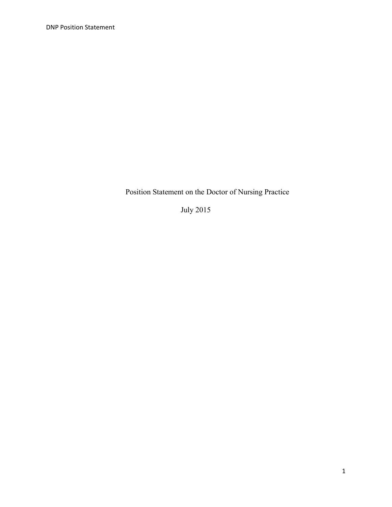Position Statement on the Doctor of Nursing Practice

July 2015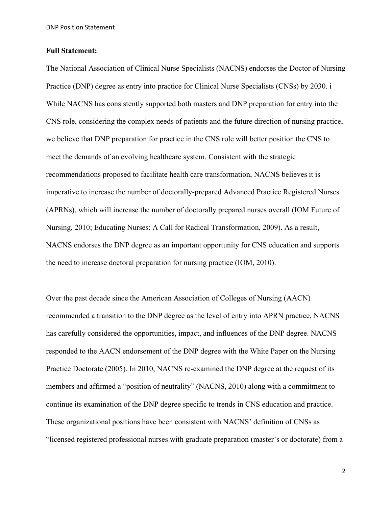DNP Position Statement

### **Full Statement:**

The National Association of Clinical Nurse Specialists (NACNS) endorses the Doctor of Nursing Practice (DNP) degree as entry into practice for Clinical Nurse Specialists (CNSs) by 2030. i While NACNS has consistently supported both masters and DNP preparation for entry into the CNS role, considering the complex needs of patients and the future direction of nursing practice, we believe that DNP preparation for practice in the CNS role will better position the CNS to meet the demands of an evolving healthcare system. Consistent with the strategic recommendations proposed to facilitate health care transformation, NACNS believes it is imperative to increase the number of doctorally-prepared Advanced Practice Registered Nurses (APRNs), which will increase the number of doctorally prepared nurses overall (IOM Future of Nursing, 2010; Educating Nurses: A Call for Radical Transformation, 2009). As a result, NACNS endorses the DNP degree as an important opportunity for CNS education and supports the need to increase doctoral preparation for nursing practice (IOM, 2010).

Over the past decade since the American Association of Colleges of Nursing (AACN) recommended a transition to the DNP degree as the level of entry into APRN practice, NACNS has carefully considered the opportunities, impact, and influences of the DNP degree. NACNS responded to the AACN endorsement of the DNP degree with the White Paper on the Nursing Practice Doctorate (2005). In 2010, NACNS re-examined the DNP degree at the request of its members and affirmed a "position of neutrality" (NACNS, 2010) along with a commitment to continue its examination of the DNP degree specific to trends in CNS education and practice. These organizational positions have been consistent with NACNS' definition of CNSs as "licensed registered professional nurses with graduate preparation (master's or doctorate) from a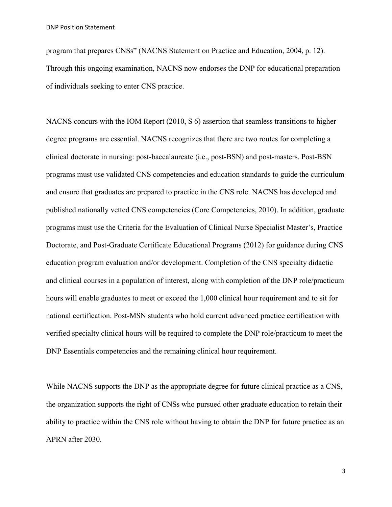program that prepares CNSs" (NACNS Statement on Practice and Education, 2004, p. 12). Through this ongoing examination, NACNS now endorses the DNP for educational preparation of individuals seeking to enter CNS practice.

NACNS concurs with the IOM Report (2010, S 6) assertion that seamless transitions to higher degree programs are essential. NACNS recognizes that there are two routes for completing a clinical doctorate in nursing: post-baccalaureate (i.e., post-BSN) and post-masters. Post-BSN programs must use validated CNS competencies and education standards to guide the curriculum and ensure that graduates are prepared to practice in the CNS role. NACNS has developed and published nationally vetted CNS competencies (Core Competencies, 2010). In addition, graduate programs must use the Criteria for the Evaluation of Clinical Nurse Specialist Master's, Practice Doctorate, and Post-Graduate Certificate Educational Programs (2012) for guidance during CNS education program evaluation and/or development. Completion of the CNS specialty didactic and clinical courses in a population of interest, along with completion of the DNP role/practicum hours will enable graduates to meet or exceed the 1,000 clinical hour requirement and to sit for national certification. Post-MSN students who hold current advanced practice certification with verified specialty clinical hours will be required to complete the DNP role/practicum to meet the DNP Essentials competencies and the remaining clinical hour requirement.

While NACNS supports the DNP as the appropriate degree for future clinical practice as a CNS, the organization supports the right of CNSs who pursued other graduate education to retain their ability to practice within the CNS role without having to obtain the DNP for future practice as an APRN after 2030.

3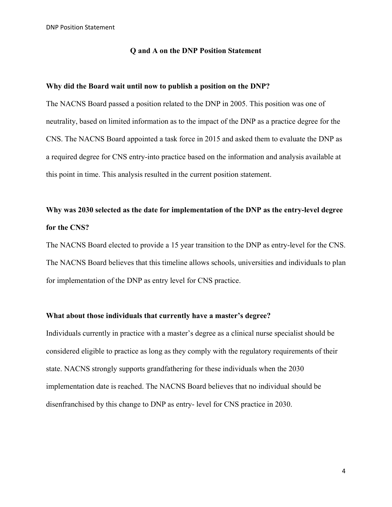#### **Q and A on the DNP Position Statement**

# **Why did the Board wait until now to publish a position on the DNP?**

The NACNS Board passed a position related to the DNP in 2005. This position was one of neutrality, based on limited information as to the impact of the DNP as a practice degree for the CNS. The NACNS Board appointed a task force in 2015 and asked them to evaluate the DNP as a required degree for CNS entry-into practice based on the information and analysis available at this point in time. This analysis resulted in the current position statement.

# **Why was 2030 selected as the date for implementation of the DNP as the entry-level degree for the CNS?**

The NACNS Board elected to provide a 15 year transition to the DNP as entry-level for the CNS. The NACNS Board believes that this timeline allows schools, universities and individuals to plan for implementation of the DNP as entry level for CNS practice.

## **What about those individuals that currently have a master's degree?**

Individuals currently in practice with a master's degree as a clinical nurse specialist should be considered eligible to practice as long as they comply with the regulatory requirements of their state. NACNS strongly supports grandfathering for these individuals when the 2030 implementation date is reached. The NACNS Board believes that no individual should be disenfranchised by this change to DNP as entry- level for CNS practice in 2030.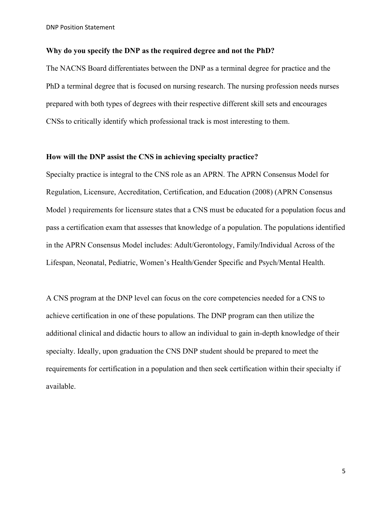#### **Why do you specify the DNP as the required degree and not the PhD?**

The NACNS Board differentiates between the DNP as a terminal degree for practice and the PhD a terminal degree that is focused on nursing research. The nursing profession needs nurses prepared with both types of degrees with their respective different skill sets and encourages CNSs to critically identify which professional track is most interesting to them.

## **How will the DNP assist the CNS in achieving specialty practice?**

Specialty practice is integral to the CNS role as an APRN. The APRN Consensus Model for Regulation, Licensure, Accreditation, Certification, and Education (2008) (APRN Consensus Model ) requirements for licensure states that a CNS must be educated for a population focus and pass a certification exam that assesses that knowledge of a population. The populations identified in the APRN Consensus Model includes: Adult/Gerontology, Family/Individual Across of the Lifespan, Neonatal, Pediatric, Women's Health/Gender Specific and Psych/Mental Health.

A CNS program at the DNP level can focus on the core competencies needed for a CNS to achieve certification in one of these populations. The DNP program can then utilize the additional clinical and didactic hours to allow an individual to gain in-depth knowledge of their specialty. Ideally, upon graduation the CNS DNP student should be prepared to meet the requirements for certification in a population and then seek certification within their specialty if available.